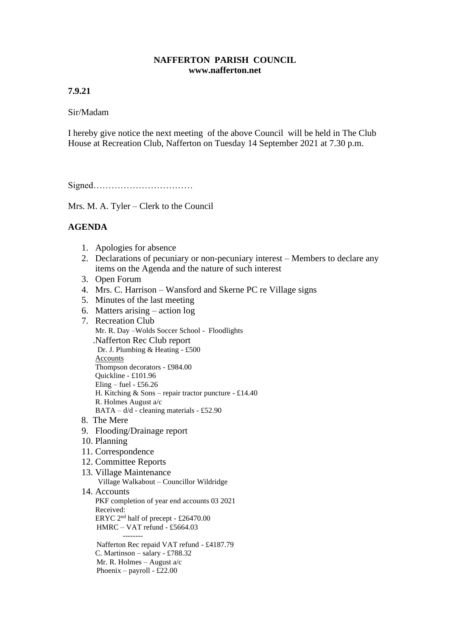## **NAFFERTON PARISH COUNCIL www.nafferton.net**

# **7.9.21**

## Sir/Madam

I hereby give notice the next meeting of the above Council will be held in The Club House at Recreation Club, Nafferton on Tuesday 14 September 2021 at 7.30 p.m.

Signed……………………………

Mrs. M. A. Tyler – Clerk to the Council

# **AGENDA**

- 1. Apologies for absence
- 2. Declarations of pecuniary or non-pecuniary interest Members to declare any items on the Agenda and the nature of such interest
- 3. Open Forum
- 4. Mrs. C. Harrison Wansford and Skerne PC re Village signs
- 5. Minutes of the last meeting
- 6. Matters arising action log
- 7. Recreation Club
- Mr. R. Day –Wolds Soccer School Floodlights .Nafferton Rec Club report Dr. J. Plumbing & Heating - £500 Accounts Thompson decorators - £984.00 Quickline - £101.96 Eling – fuel - £56.26 H. Kitching & Sons – repair tractor puncture - £14.40 R. Holmes August a/c  $BATA - d/d$  - cleaning materials - £52.90
- 8. The Mere
- 9. Flooding/Drainage report
- 10. Planning
- 11. Correspondence
- 12. Committee Reports
- 13. Village Maintenance Village Walkabout – Councillor Wildridge

#### 14. Accounts PKF completion of year end accounts 03 2021 Received: ERYC 2nd half of precept - £26470.00 HMRC – VAT refund - £5664.03 -------- Nafferton Rec repaid VAT refund - £4187.79 C. Martinson – salary - £788.32 Mr. R. Holmes – August a/c Phoenix – payroll - £22.00